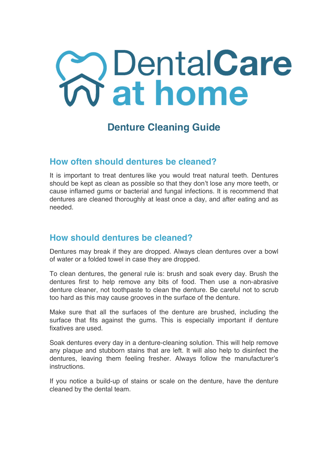# **ContalCare**<br>
Tat home

# **Denture Cleaning Guide**

### **How often should dentures be cleaned?**

It is important to treat dentures like you would treat natural teeth. Dentures should be kept as clean as possible so that they don't lose any more teeth, or cause inflamed gums or bacterial and fungal infections. It is recommend that dentures are cleaned thoroughly at least once a day, and after eating and as needed.

#### **How should dentures be cleaned?**

Dentures may break if they are dropped. Always clean dentures over a bowl of water or a folded towel in case they are dropped.

To clean dentures, the general rule is: brush and soak every day. Brush the dentures first to help remove any bits of food. Then use a non-abrasive denture cleaner, not toothpaste to clean the denture. Be careful not to scrub too hard as this may cause grooves in the surface of the denture.

Make sure that all the surfaces of the denture are brushed, including the surface that fits against the gums. This is especially important if denture fixatives are used.

Soak dentures every day in a denture-cleaning solution. This will help remove any plaque and stubborn stains that are left. It will also help to disinfect the dentures, leaving them feeling fresher. Always follow the manufacturer's instructions.

If you notice a build-up of stains or scale on the denture, have the denture cleaned by the dental team.